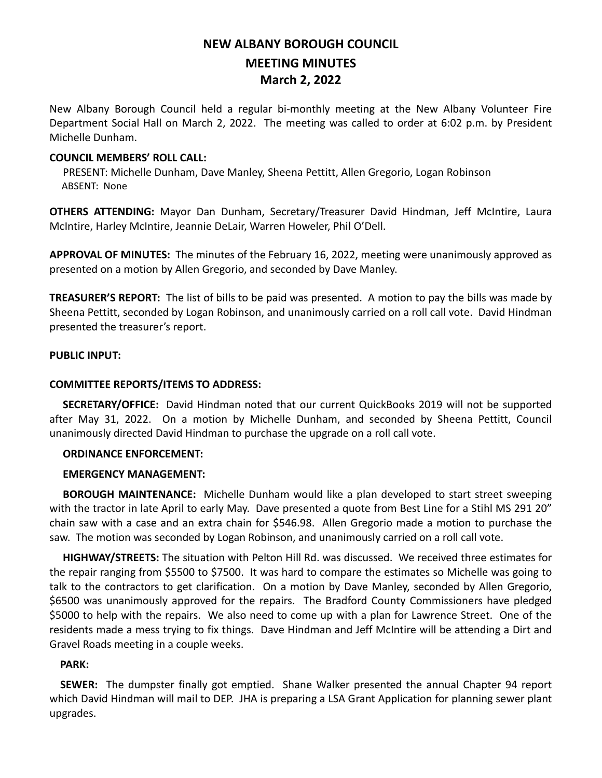# **NEW ALBANY BOROUGH COUNCIL MEETING MINUTES March 2, 2022**

New Albany Borough Council held a regular bi-monthly meeting at the New Albany Volunteer Fire Department Social Hall on March 2, 2022. The meeting was called to order at 6:02 p.m. by President Michelle Dunham.

## **COUNCIL MEMBERS' ROLL CALL:**

PRESENT: Michelle Dunham, Dave Manley, Sheena Pettitt, Allen Gregorio, Logan Robinson ABSENT: None

**OTHERS ATTENDING:** Mayor Dan Dunham, Secretary/Treasurer David Hindman, Jeff McIntire, Laura McIntire, Harley McIntire, Jeannie DeLair, Warren Howeler, Phil O'Dell.

**APPROVAL OF MINUTES:** The minutes of the February 16, 2022, meeting were unanimously approved as presented on a motion by Allen Gregorio, and seconded by Dave Manley.

**TREASURER'S REPORT:** The list of bills to be paid was presented. A motion to pay the bills was made by Sheena Pettitt, seconded by Logan Robinson, and unanimously carried on a roll call vote. David Hindman presented the treasurer's report.

## **PUBLIC INPUT:**

# **COMMITTEE REPORTS/ITEMS TO ADDRESS:**

 **SECRETARY/OFFICE:** David Hindman noted that our current QuickBooks 2019 will not be supported after May 31, 2022. On a motion by Michelle Dunham, and seconded by Sheena Pettitt, Council unanimously directed David Hindman to purchase the upgrade on a roll call vote.

#### **ORDINANCE ENFORCEMENT:**

# **EMERGENCY MANAGEMENT:**

 **BOROUGH MAINTENANCE:** Michelle Dunham would like a plan developed to start street sweeping with the tractor in late April to early May. Dave presented a quote from Best Line for a Stihl MS 291 20" chain saw with a case and an extra chain for \$546.98. Allen Gregorio made a motion to purchase the saw. The motion was seconded by Logan Robinson, and unanimously carried on a roll call vote.

 **HIGHWAY/STREETS:** The situation with Pelton Hill Rd. was discussed. We received three estimates for the repair ranging from \$5500 to \$7500. It was hard to compare the estimates so Michelle was going to talk to the contractors to get clarification. On a motion by Dave Manley, seconded by Allen Gregorio, \$6500 was unanimously approved for the repairs. The Bradford County Commissioners have pledged \$5000 to help with the repairs. We also need to come up with a plan for Lawrence Street. One of the residents made a mess trying to fix things. Dave Hindman and Jeff McIntire will be attending a Dirt and Gravel Roads meeting in a couple weeks.

# **PARK:**

 **SEWER:** The dumpster finally got emptied. Shane Walker presented the annual Chapter 94 report which David Hindman will mail to DEP. JHA is preparing a LSA Grant Application for planning sewer plant upgrades.